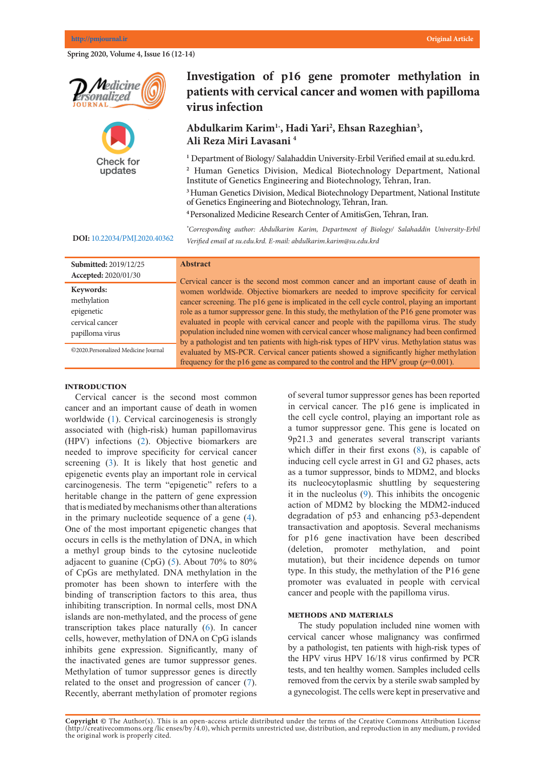**Spring 2020, Volume 4, Issue 16 (12-14)** 





**Keywords: DOI:** [10.22034/PMJ.2020.40362](http://www.pmjournal.ir/article_40362.html)

## Investigation of p16 gene promoter methylation in patients with cervical cancer and women with papilloma virus infection **virus infection**

# **Mohammad Ali Saremi 1,\* Abdulkarim Karim1\* , Hadi Yari2 , Ehsan Razeghian3 ,** Ali Reza Miri Lavasani <sup>4</sup>

<sup>1</sup> Department of Biology/ Salahaddin University-Erbil Verified email at su.edu.krd. *Center of AmitisGen, Tehran, Iran. E-mail: masaremi@yahoo.com* Institute of Genetics Engineering and Biotechnology, Tehran, Iran. **2** Human Genetics Division, Medical Biotechnology Department, National **<sup>3</sup>**Human Genetics Division, Medical Biotechnology Department, National Institute

**Abstract** <sup>4</sup> Personalized Medicine Research Center of AmitisGen, Tehran, Iran.

of Genetics Engineering and Biotechnology, Tehran, Iran.

of cases of lung cancer are due to long-term tobacco smoking. About 10–15% of cases *\* Corresponding author: Abdulkarim Karim, Department of Biology/ Salahaddin University-Erbil*  Verified email at su.edu.krd. E-mail: abdulkarim.karim@su.edu.krd

#### **Submitted:** 2019/12/25 **Accepted:** 2020/01/30 **Abstract** Cervical cancer is the second most common cancer and an important cause of death in women worldwide. Objective biomarkers are needed to improve specificity for cervical women worldwide. Objective biomarkets are needed to improve speemery for cervical cancer screening. The p16 gene is implicated in the cell cycle control, playing an important role as a tumor suppressor gene. In this study, the methylation of the P16 gene promoter was tumor suppressor gene. In this study, the methylation of the P16 gene promoter was evaluated in people with cervical cancer and people with the papilloma virus. The study population included nine women with cervical cancer whose malignancy had been confirmed by a pathologist and ten patients with high-risk types of HPV virus. Methylation status was evaluated by MS-PCR. Cervical cancer patients showed a significantly higher methylation frequency for the p16 gene as compared to the control and the HPV group  $(p=0.001)$ . Keywords: methylation epigenetic cervical cancer papilloma virus ©2020.Personalized Medicine Journal combination of genetic and environmental factors. Many human cancers are the result of mutations in the RAS family, and lung cancer is no exception. In this study, and lung cancer is no exception. In this study, and is no exception. In this study, and is no exception. In this study, and is no exception. I Iranican Cancel is the second most common cancel and an important cause of the general property.  $\frac{1}{2}$

### **Introduction**

Cervical cancer is the second most common cancer and an important cause of death in women vorldwide ([1](#page-1-0)). Cervical carcinogenesis is strongly associated with (high-risk) human papillomavirus  $(TIN)$  is  $f(x) = (2)$ . Obtained to lung cancer. (HPV) infections ([2\)](#page-1-0). Objective biomarkers are  $t_1$ needed to improve specificity for cervical cancer  $(2)$ . Most cancer of them will discuss cancer screening  $(3)$  $(3)$  $(3)$ . It is likely that host genetic and  $\frac{1}{2}$ epigenetic events play an important role in cervical epigenetic events play an important fole in cervical carcinogenesis. The term "epigenetic" refers to a heritable change in the pattern of gene expression that is modified by most common symptoms at her them alternations. that is mediated by mechanisms other than alterations in the primary nucleotide sequence of a gene ([4\)](#page-1-0). One of the most important epigenetic changes that  $(\neg)$ .  $\alpha$  occurs in cells is the methylation of DNA, in which  $\alpha$ a methyl group binds to the cytosine nucleotide<br> $\frac{(C_1 C_2)^2 (5)}{4}$ adjacent to guanine  $(CpG)$  ([5](#page-1-0)). About 70% to 80% of CpGs are methylated. DNA methylation in the promoter has been shown to interfere with the binding of transcription factors to this area, thus  $\frac{1}{2}$ . Tumor cell DNA inhibiting transcription. In normal cells, most  $DNA$ islands are non-methylated, and the process of gene transcription takes place naturally  $(6)$  $(6)$  $(6)$ . In cancer cells, however, methylation of DNA on CpG islands inhibits gene expression. Significantly, many of the inactivated genes are tumor suppressor genes.<br>Mathematic of the contract decades, we can be defined as Methylation of tumor suppressor genes is directly  $\frac{1}{2}$ related to the onset and progression of cancer ([7](#page-1-0)). Recently, aberrant methylation of promoter regions worldwide  $(1)$ . Cervical carcinogenesis is strong  $\alpha$  (SCLC) and  $\alpha$  and  $\alpha$  and  $\alpha$  and  $\alpha$ one of the most important epigenetic enanges the minors gene expression. Significantly, many of Keeping, abertant memyiation of promoter region

of several tumor suppressor genes has been reported in cervical cancer. The p16 gene is implicated in the cell cycle control, playing an important role as a tumor suppressor gene. This gene is located on 9p21.3 and generates several transcript variants which differ in their first exons  $(8)$  $(8)$ , is capable of inducing cell cycle arrest in  $GI$  and  $G2$  phases, acts as a tumor suppressor, binds to MDM2, and blocks its nucleocytoplasmic shuttling by sequestering it in the nucleolus ([9](#page-1-0)). This inhibits the oncogenic action of MDM2 by blocking the MDM2-induced degradation of p53 and enhancing p53-dependent transactivation and apoptosis. Several mechanisms for p16 gene inactivation have been described (deletion, promoter methylation, and point mutation), but their incidence depends on tumor type. In this study, the methylation of the P16 gene promoter was evaluated in people with cervical cancer and people with the papilloma virus. which is located on the long arm of chromosome 12 and  $\mathbf{r}$ 

### **METHODS AND MATERIALS**

The study population included nine women with cervical cancer whose malignancy was confirmed by a pathologist, ten patients with high-risk types of the HPV virus HPV  $16/18$  virus confirmed by PCR The most common common tent of the most common hotspot k-ras general cells removed from the cervix by a sterile swab sampled by a gynecologist. The cells were kept in preservative and survival and increased lung cancer metastasis, and

Copyright @ The Author(s). This is an open-access article distributed under the terms of the Creative Commons Attribution License (http://creativecommons.org/licenses/by/4.0), which permits unrestricted use, distribution, and reproduction in any medium, p rovided the original work is properly cited.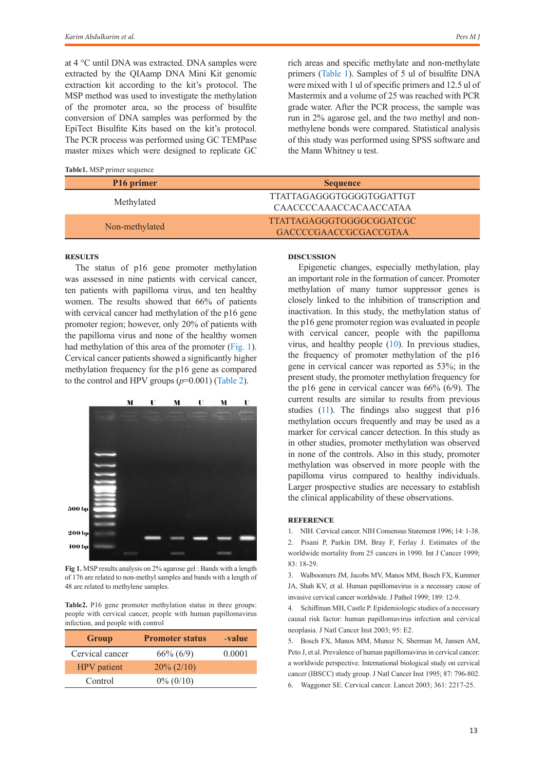at 4 °C until DNA was extracted. DNA samples were extracted by the QIAamp DNA Mini Kit genomic extraction kit according to the kit's protocol. The MSP method was used to investigate the methylation of the promoter area, so the process of bisulfite conversion of DNA samples was performed by the EpiTect Bisulfite Kits based on the kit's protocol. The PCR process was performed using GC TEMPase master mixes which were designed to replicate GC

<span id="page-1-1"></span>**Table1.** MSP primer sequence

rich areas and specific methylate and non-methylate primers ([Table 1](#page-1-1)). Samples of 5 ul of bisulfite DNA were mixed with 1 ul of specific primers and 12.5 ul of Mastermix and a volume of 25 was reached with PCR grade water. After the PCR process, the sample was run in 2% agarose gel, and the two methyl and nonmethylene bonds were compared. Statistical analysis of this study was performed using SPSS software and the Mann Whitney u test.

| P <sub>16</sub> primer | <b>Sequence</b>                                          |  |
|------------------------|----------------------------------------------------------|--|
| Methylated             | TTATTAGAGGGTGGGGTGGATTGT<br>CAACCCCAAACCACAACCATAA       |  |
| Non-methylated         | TTATTAGAGGGTGGGGCGGATCGC<br><b>GACCCCGAACCGCGACCGTAA</b> |  |

### **Results**

The status of p16 gene promoter methylation was assessed in nine patients with cervical cancer, ten patients with papilloma virus, and ten healthy women. The results showed that 66% of patients with cervical cancer had methylation of the p16 gene promoter region; however, only 20% of patients with the papilloma virus and none of the healthy women had methylation of this area of the promoter ([Fig. 1\)](#page-1-2). Cervical cancer patients showed a significantly higher methylation frequency for the p16 gene as compared to the control and HPV groups  $(p=0.001)$  ([Table 2](#page-1-3)).



<span id="page-1-2"></span>**Fig 1.** MSP results analysis on 2% agarose gel : Bands with a length of 176 are related to non-methyl samples and bands with a length of 48 are related to methylene samples.

<span id="page-1-3"></span>**Table2.** P16 gene promoter methylation status in three groups: people with cervical cancer, people with human papillomavirus infection, and people with control

| Group              | <b>Promoter status</b> | -value |
|--------------------|------------------------|--------|
| Cervical cancer    | $66\% (6/9)$           | 0.0001 |
| <b>HPV</b> patient | $20\% (2/10)$          |        |
| Control            | $0\% (0/10)$           |        |

### **Discussion**

Epigenetic changes, especially methylation, play an important role in the formation of cancer. Promoter methylation of many tumor suppressor genes is closely linked to the inhibition of transcription and inactivation. In this study, the methylation status of the p16 gene promoter region was evaluated in people with cervical cancer, people with the papilloma virus, and healthy people ([10](#page-1-0)). In previous studies, the frequency of promoter methylation of the p16 gene in cervical cancer was reported as 53%; in the present study, the promoter methylation frequency for the p16 gene in cervical cancer was 66% (6/9). The current results are similar to results from previous studies ([11](#page-1-0)). The findings also suggest that p16 methylation occurs frequently and may be used as a marker for cervical cancer detection. In this study as in other studies, promoter methylation was observed in none of the controls. Also in this study, promoter methylation was observed in more people with the papilloma virus compared to healthy individuals. Larger prospective studies are necessary to establish the clinical applicability of these observations.

#### **Reference**

<span id="page-1-0"></span>1. NIH. Cervical cancer. NIH Consensus Statement 1996; 14: 1-38.

2. Pisani P, Parkin DM, Bray F, Ferlay J. Estimates of the worldwide mortality from 25 cancers in 1990. Int J Cancer 1999; 83: 18-29.

3. Walboomers JM, Jacobs MV, Manos MM, Bosch FX, Kummer JA, Shah KV, et al. Human papillomavirus is a necessary cause of invasive cervical cancer worldwide. J Pathol 1999; 189: 12-9.

4. Schiffman MH, Castle P. Epidemiologic studies of a necessary causal risk factor: human papillomavirus infection and cervical neoplasia. J Natl Cancer Inst 2003; 95: E2.

5. Bosch FX, Manos MM, Munoz N, Sherman M, Jansen AM, Peto J, et al. Prevalence of human papillomavirus in cervical cancer: a worldwide perspective. International biological study on cervical cancer (IBSCC) study group. J Natl Cancer Inst 1995; 87: 796-802. 6. Waggoner SE. Cervical cancer. Lancet 2003; 361: 2217-25.